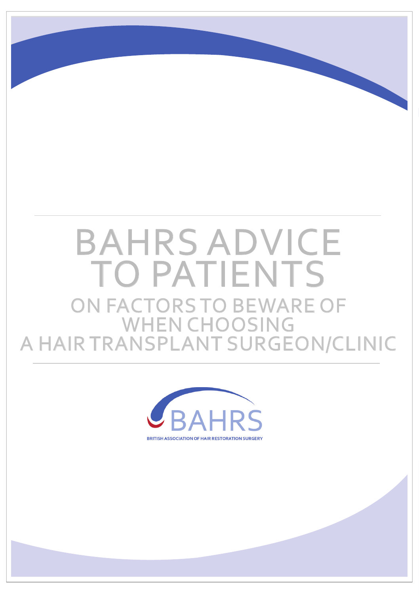## ON FACTORS TO BEWARE OF WHEN CHOOSING A HAIR TRANSPLANT SURGEON/CLINIC BAHRS ADVICE TO PATIENTS

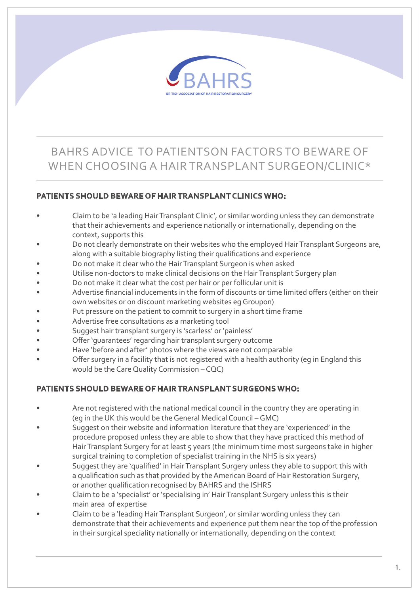

## BAHRS ADVICE TO PATIENTSON FACTORS TO BEWARE OF WHEN CHOOSING A HAIR TRANSPLANT SURGEON/CLINIC\*

## **PATIENTS SHOULD BEWARE OF HAIR TRANSPLANT CLINICS WHO:**

- Claim to be 'a leading Hair Transplant Clinic', or similar wording unless they can demonstrate that their achievements and experience nationally or internationally, depending on the context, supports this
- Do not clearly demonstrate on their websites who the employed Hair Transplant Surgeons are, along with a suitable biography listing their qualifications and experience
- Do not make it clear who the Hair Transplant Surgeon is when asked
- Utilise non-doctors to make clinical decisions on the Hair Transplant Surgery plan
- Do not make it clear what the cost per hair or per follicular unit is
- Advertise financial inducements in the form of discounts or time limited offers (either on their own websites or on discount marketing websites eg Groupon)
- Put pressure on the patient to commit to surgery in a short time frame
- Advertise free consultations as a marketing tool
- Suggest hair transplant surgery is 'scarless' or 'painless'
- Offer 'quarantees' regarding hair transplant surgery outcome
- Have 'before and after' photos where the views are not comparable
- Offer surgery in a facility that is not registered with a health authority (eg in England this would be the Care Quality Commission – CQC)

## **PATIENTS SHOULD BEWARE OF HAIR TRANSPLANT SURGEONS WHO:**

- Are not registered with the national medical council in the country they are operating in (eg in the UK this would be the General Medical Council – GMC)
- Suggest on their website and information literature that they are 'experienced' in the procedure proposed unless they are able to show that they have practiced this method of Hair Transplant Surgery for at least 5 years (the minimum time most surgeons take in higher surgical training to completion of specialist training in the NHS is six years)
- Suggest they are 'qualified' in Hair Transplant Surgery unless they able to support this with a qualification such as that provided by the American Board of Hair Restoration Surgery, or another qualification recognised by BAHRS and the ISHRS
- Claim to be a 'specialist' or 'specialising in' Hair Transplant Surgery unless this is their main area of expertise
- Claim to be a 'leading Hair Transplant Surgeon', or similar wording unless they can demonstrate that their achievements and experience put them near the top of the profession in their surgical speciality nationally or internationally, depending on the context